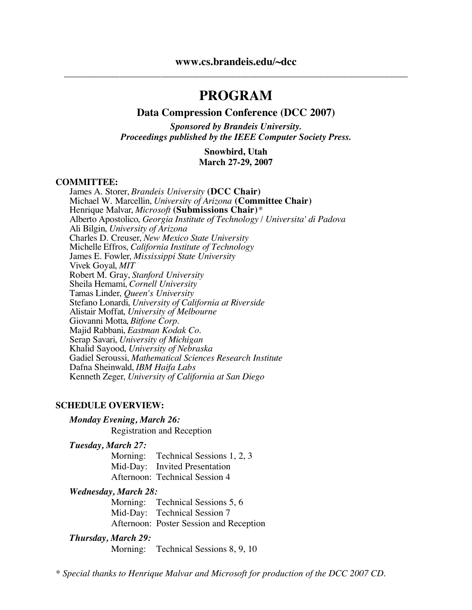# **PROGRAM**

#### **Data Compression Conference (DCC 2007)**

*Sponsored by Brandeis University. Proceedings published by the IEEE Computer Society Press.*

#### **Snowbird, Utah March 27-29, 2007**

#### **COMMITTEE:**

James A. Storer, *Brandeis University* **(DCC Chair)** Michael W. Marcellin, *University of Arizona* **(Committee Chair)** Henrique Malvar, *Microsoft* **(Submissions Chair)**\* Alberto Apostolico, *Georgia Institute of Technology* / *Universita' di Padova* Ali Bilgin, *University of Arizona* Charles D. Creuser, *New Mexico State University* Michelle Effros, *California Institute of Technology* James E. Fowler, *Mississippi State University* Vivek Goyal, *MIT* Robert M. Gray, *Stanford University* Sheila Hemami, *Cornell University* Tamas Linder, *Queen's University* Stefano Lonardi, *University of California at Riverside* Alistair Moffat, *University of Melbourne* Giovanni Motta, *Bitfone Corp.* Majid Rabbani, *Eastman Kodak Co.* Serap Savari, *University of Michigan* Khalid Sayood, *University of Nebraska* Gadiel Seroussi, *Mathematical Sciences Research Institute* Dafna Sheinwald, *IBM Haifa Labs* Kenneth Zeger, *University of California at San Diego*

#### **SCHEDULE OVERVIEW:**

## *Monday Evening, March 26:*

Registration and Reception

*Tuesday, March 27:*

Morning: Technical Sessions 1, 2, 3 Mid-Day: Invited Presentation Afternoon: Technical Session 4

#### *Wednesday, March 28:*

Morning: Technical Sessions 5, 6 Mid-Day: Technical Session 7 Afternoon: Poster Session and Reception

#### *Thursday, March 29:*

Morning: Technical Sessions 8, 9, 10

*\* Special thanks to Henrique Malvar and Microsoft for production of the DCC 2007 CD.*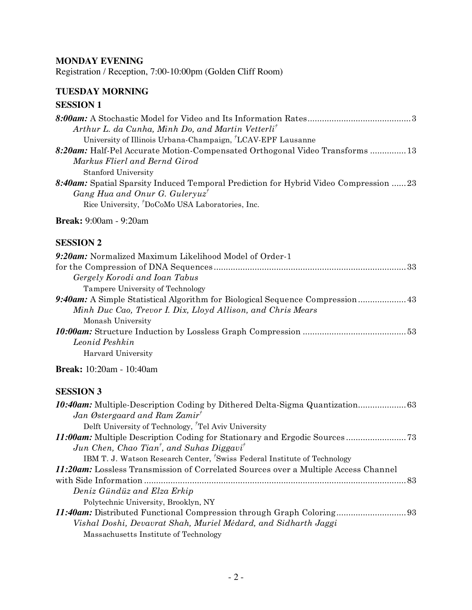## **MONDAY EVENING**

Registration / Reception, 7:00-10:00pm (Golden Cliff Room)

## **TUESDAY MORNING**

## **SESSION 1**

| Arthur L. da Cunha, Minh Do, and Martin Vetterli <sup>†</sup>                        |
|--------------------------------------------------------------------------------------|
| University of Illinois Urbana-Champaign, <sup>†</sup> LCAV-EPF Lausanne              |
| 8:20am: Half-Pel Accurate Motion-Compensated Orthogonal Video Transforms 13          |
| Markus Flierl and Bernd Girod                                                        |
| <b>Stanford University</b>                                                           |
| 8:40am: Spatial Sparsity Induced Temporal Prediction for Hybrid Video Compression 23 |
| Gang Hua and Onur G. Guleryuz <sup>†</sup>                                           |
| Rice University, <sup><i>†</i></sup> DoCoMo USA Laboratories, Inc.                   |
|                                                                                      |

**Break:** 9:00am - 9:20am

## **SESSION 2**

| 9:20am: Normalized Maximum Likelihood Model of Order-1                         |
|--------------------------------------------------------------------------------|
|                                                                                |
| Gergely Korodi and Ioan Tabus                                                  |
| Tampere University of Technology                                               |
| 9:40am: A Simple Statistical Algorithm for Biological Sequence Compression  43 |
| Minh Duc Cao, Trevor I. Dix, Lloyd Allison, and Chris Mears                    |
| Monash University                                                              |
|                                                                                |
| Leonid Peshkin                                                                 |
| Harvard University                                                             |

## **Break:** 10:20am - 10:40am

| 10:40am: Multiple-Description Coding by Dithered Delta-Sigma Quantization 63                |  |
|---------------------------------------------------------------------------------------------|--|
| Jan Østergaard and Ram $Zamir^{\dagger}$                                                    |  |
| Delft University of Technology, <sup>†</sup> Tel Aviv University                            |  |
|                                                                                             |  |
| Jun Chen, Chao Tian <sup>†</sup> , and Suhas Diggavi <sup>†</sup>                           |  |
| IBM T. J. Watson Research Center, <sup><i>'</i></sup> Swiss Federal Institute of Technology |  |
| <i>11:20am:</i> Lossless Transmission of Correlated Sources over a Multiple Access Channel  |  |
|                                                                                             |  |
| Deniz Gündüz and Elza Erkip                                                                 |  |
| Polytechnic University, Brooklyn, NY                                                        |  |
|                                                                                             |  |
| Vishal Doshi, Devavrat Shah, Muriel Médard, and Sidharth Jaggi                              |  |
| Massachusetts Institute of Technology                                                       |  |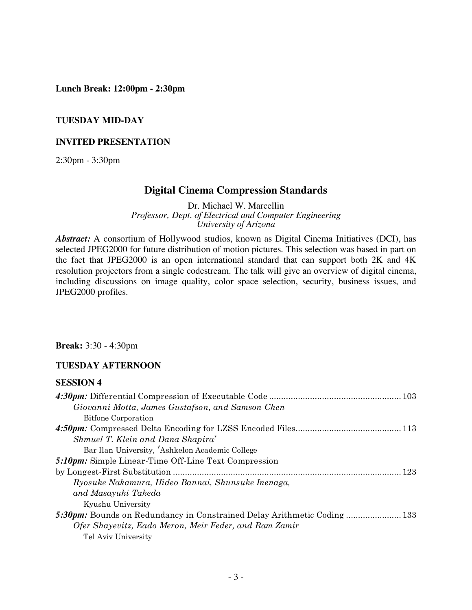**Lunch Break: 12:00pm - 2:30pm**

#### **TUESDAY MID-DAY**

#### **INVITED PRESENTATION**

2:30pm - 3:30pm

### **Digital Cinema Compression Standards**

Dr. Michael W. Marcellin *Professor, Dept. of Electrical and Computer Engineering University of Arizona*

*Abstract:* A consortium of Hollywood studios, known as Digital Cinema Initiatives (DCI), has selected JPEG2000 for future distribution of motion pictures. This selection was based in part on the fact that JPEG2000 is an open international standard that can support both 2K and 4K resolution projectors from a single codestream. The talk will give an overview of digital cinema, including discussions on image quality, color space selection, security, business issues, and JPEG2000 profiles.

**Break:** 3:30 - 4:30pm

#### **TUESDAY AFTERNOON**

| Giovanni Motta, James Gustafson, and Samson Chen                         |
|--------------------------------------------------------------------------|
| <b>Bitfone Corporation</b>                                               |
|                                                                          |
| Shmuel T. Klein and Dana Shapira <sup>†</sup>                            |
| Bar Ilan University, <sup>†</sup> Ashkelon Academic College              |
| <b>5:10pm:</b> Simple Linear-Time Off-Line Text Compression              |
| 123                                                                      |
| Ryosuke Nakamura, Hideo Bannai, Shunsuke Inenaga,                        |
| and Masayuki Takeda                                                      |
| Kyushu University                                                        |
| 5:30pm: Bounds on Redundancy in Constrained Delay Arithmetic Coding  133 |
| Ofer Shayevitz, Eado Meron, Meir Feder, and Ram Zamir                    |
| Tel Aviv University                                                      |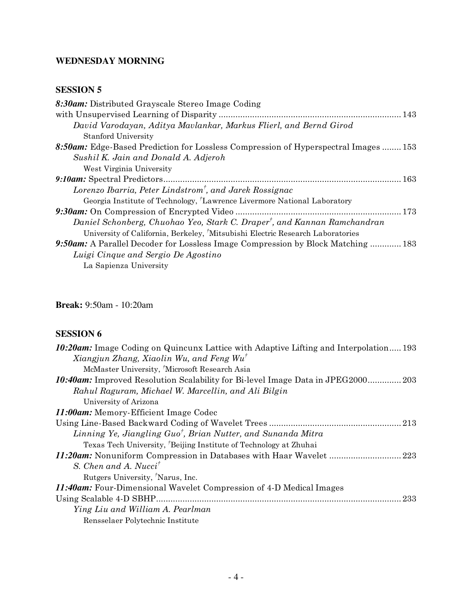# **WEDNESDAY MORNING**

# **SESSION 5**

| 8:30am: Distributed Grayscale Stereo Image Coding                                          |
|--------------------------------------------------------------------------------------------|
| 143                                                                                        |
| David Varodayan, Aditya Mavlankar, Markus Flierl, and Bernd Girod                          |
| <b>Stanford University</b>                                                                 |
| 8:50am: Edge-Based Prediction for Lossless Compression of Hyperspectral Images  153        |
| Sushil K. Jain and Donald A. Adjeroh                                                       |
| West Virginia University                                                                   |
|                                                                                            |
| Lorenzo Ibarria, Peter Lindstrom <sup>†</sup> , and Jarek Rossignac                        |
| Georgia Institute of Technology, <sup>†</sup> Lawrence Livermore National Laboratory       |
|                                                                                            |
| Daniel Schonberg, Chuohao Yeo, Stark C. Draper <sup>†</sup> , and Kannan Ramchandran       |
| University of California, Berkeley, <sup>†</sup> Mitsubishi Electric Research Laboratories |
| 9:50am: A Parallel Decoder for Lossless Image Compression by Block Matching  183           |
| Luigi Cinque and Sergio De Agostino                                                        |
| La Sapienza University                                                                     |
|                                                                                            |

# **Break:** 9:50am - 10:20am

| 10:20am: Image Coding on Quincunx Lattice with Adaptive Lifting and Interpolation 193      |
|--------------------------------------------------------------------------------------------|
| Xiangjun Zhang, Xiaolin Wu, and Feng Wu <sup>†</sup>                                       |
| McMaster University, Microsoft Research Asia                                               |
| <b>10:40am:</b> Improved Resolution Scalability for Bi-level Image Data in JPEG2000<br>203 |
| Rahul Raguram, Michael W. Marcellin, and Ali Bilgin                                        |
| University of Arizona                                                                      |
| <i>11:00am:</i> Memory-Efficient Image Codec                                               |
|                                                                                            |
| Linning Ye, Jiangling Guo <sup>†</sup> , Brian Nutter, and Sunanda Mitra                   |
| Texas Tech University, Beijing Institute of Technology at Zhuhai                           |
|                                                                                            |
| S. Chen and A. Nucci <sup>†</sup>                                                          |
| Rutgers University, <sup>†</sup> Narus, Inc.                                               |
| <i>11:40am:</i> Four-Dimensional Wavelet Compression of 4-D Medical Images                 |
| 233                                                                                        |
| Ying Liu and William A. Pearlman                                                           |
| Rensselaer Polytechnic Institute                                                           |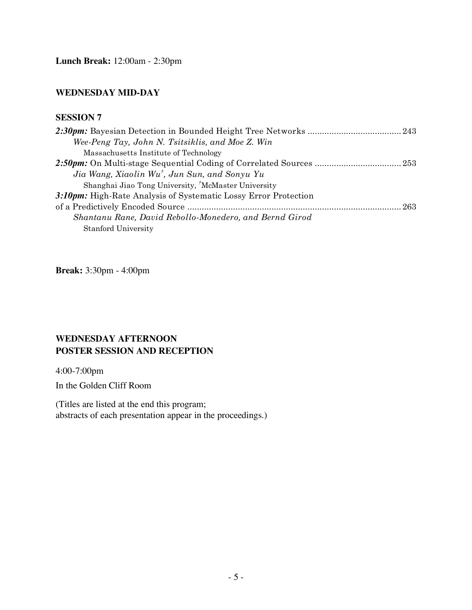#### **WEDNESDAY MID-DAY**

#### **SESSION 7**

| Wee-Peng Tay, John N. Tsitsiklis, and Moe Z. Win                |     |
|-----------------------------------------------------------------|-----|
| Massachusetts Institute of Technology                           |     |
|                                                                 |     |
| Jia Wang, Xiaolin Wu <sup>†</sup> , Jun Sun, and Sonyu Yu       |     |
| Shanghai Jiao Tong University, 'McMaster University             |     |
| 3:10pm: High-Rate Analysis of Systematic Lossy Error Protection |     |
|                                                                 | 263 |
| Shantanu Rane, David Rebollo-Monedero, and Bernd Girod          |     |
| <b>Stanford University</b>                                      |     |

**Break:** 3:30pm - 4:00pm

## **WEDNESDAY AFTERNOON POSTER SESSION AND RECEPTION**

4:00-7:00pm

In the Golden Cliff Room

(Titles are listed at the end this program; abstracts of each presentation appear in the proceedings.)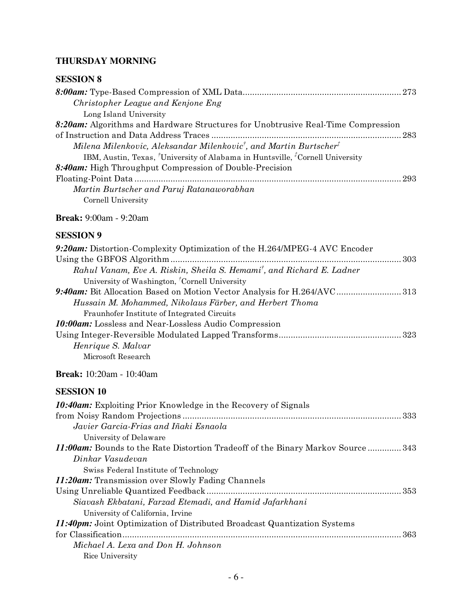# **THURSDAY MORNING**

## **SESSION 8**

| Christopher League and Kenjone Eng                                                                                  |     |
|---------------------------------------------------------------------------------------------------------------------|-----|
| Long Island University                                                                                              |     |
| 8:20am: Algorithms and Hardware Structures for Unobtrusive Real-Time Compression                                    |     |
|                                                                                                                     |     |
| Milena Milenkovic, Aleksandar Milenkovic <sup>†</sup> , and Martin Burtscher <sup>†</sup>                           |     |
| IBM, Austin, Texas, <sup><i>†</i></sup> University of Alabama in Huntsville, <sup><i>†</i></sup> Cornell University |     |
| 8:40am: High Throughput Compression of Double-Precision                                                             |     |
|                                                                                                                     | 293 |
| Martin Burtscher and Paruj Ratanaworabhan                                                                           |     |
| Cornell University                                                                                                  |     |

# **Break:** 9:00am - 9:20am

# **SESSION 9**

| 9:20am: Distortion-Complexity Optimization of the H.264/MPEG-4 AVC Encoder        |  |
|-----------------------------------------------------------------------------------|--|
|                                                                                   |  |
| Rahul Vanam, Eve A. Riskin, Sheila S. Hemami <sup>†</sup> , and Richard E. Ladner |  |
| University of Washington, <sup>†</sup> Cornell University                         |  |
| 9:40am: Bit Allocation Based on Motion Vector Analysis for H.264/AVC313           |  |
| Hussain M. Mohammed, Nikolaus Färber, and Herbert Thoma                           |  |
| Fraunhofer Institute of Integrated Circuits                                       |  |
| <b>10:00am:</b> Lossless and Near-Lossless Audio Compression                      |  |
|                                                                                   |  |
| Henrique S. Malvar                                                                |  |
| Microsoft Research                                                                |  |

## **Break:** 10:20am - 10:40am

| <b>10:40am:</b> Exploiting Prior Knowledge in the Recovery of Signals                          |
|------------------------------------------------------------------------------------------------|
|                                                                                                |
| Javier Garcia-Frias and Iñaki Esnaola                                                          |
| University of Delaware                                                                         |
| <b><i>11:00am:</i></b> Bounds to the Rate Distortion Tradeoff of the Binary Markov Source  343 |
| Dinkar Vasudevan                                                                               |
| Swiss Federal Institute of Technology                                                          |
| <i>11:20am:</i> Transmission over Slowly Fading Channels                                       |
|                                                                                                |
| Siavash Ekbatani, Farzad Etemadi, and Hamid Jafarkhani                                         |
| University of California, Irvine                                                               |
| <b>11:40pm:</b> Joint Optimization of Distributed Broadcast Quantization Systems               |
|                                                                                                |
| Michael A. Lexa and Don H. Johnson                                                             |
| Rice University                                                                                |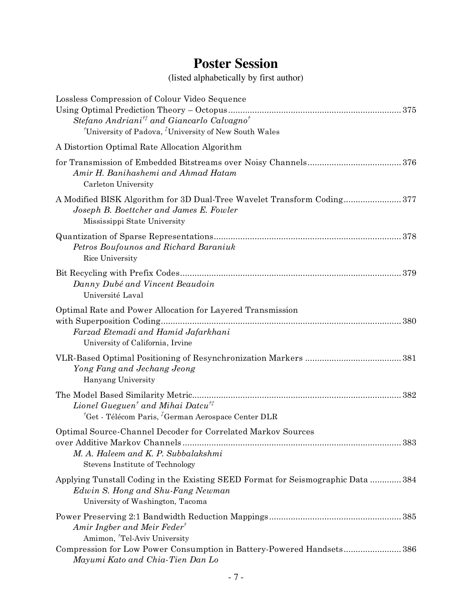# **Poster Session**

(listed alphabetically by first author)

| Lossless Compression of Colour Video Sequence<br>Stefano Andriani <sup>††</sup> and Giancarlo Calvagno <sup>†</sup><br>University of Padova, <sup>†</sup> University of New South Wales |
|-----------------------------------------------------------------------------------------------------------------------------------------------------------------------------------------|
| A Distortion Optimal Rate Allocation Algorithm                                                                                                                                          |
| Amir H. Banihashemi and Ahmad Hatam<br>Carleton University                                                                                                                              |
| A Modified BISK Algorithm for 3D Dual-Tree Wavelet Transform Coding377<br>Joseph B. Boettcher and James E. Fowler<br>Mississippi State University                                       |
| Petros Boufounos and Richard Baraniuk<br>Rice University                                                                                                                                |
| Danny Dubé and Vincent Beaudoin<br>Université Laval                                                                                                                                     |
| Optimal Rate and Power Allocation for Layered Transmission<br>Farzad Etemadi and Hamid Jafarkhani<br>University of California, Irvine                                                   |
| Yong Fang and Jechang Jeong<br>Hanyang University                                                                                                                                       |
| Lionel Gueguen <sup>†</sup> and Mihai Datcu <sup>†‡</sup><br>${}^{\dagger}$ Get - Télécom Paris, ${}^{\dagger}$ German Aerospace Center DLR                                             |
| Optimal Source-Channel Decoder for Correlated Markov Sources<br>M. A. Haleem and K. P. Subbalakshmi<br>Stevens Institute of Technology                                                  |
| Applying Tunstall Coding in the Existing SEED Format for Seismographic Data  384<br>Edwin S. Hong and Shu-Fang Newman<br>University of Washington, Tacoma                               |
| Amir Ingber and Meir Feder <sup>†</sup><br>Amimon, <sup>†</sup> Tel-Aviv University                                                                                                     |
| Compression for Low Power Consumption in Battery-Powered Handsets 386<br>Mayumi Kato and Chia-Tien Dan Lo                                                                               |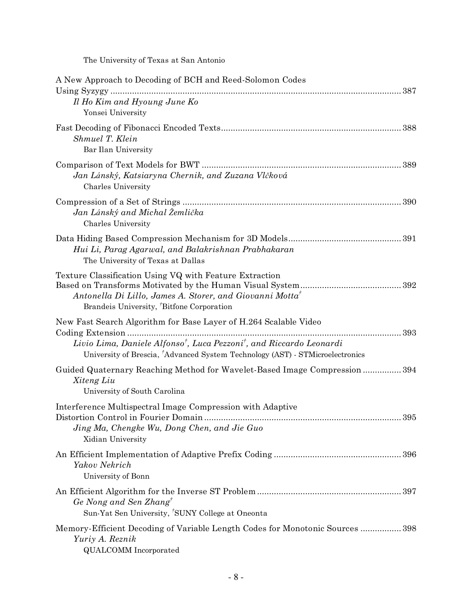The University of Texas at San Antonio

| A New Approach to Decoding of BCH and Reed-Solomon Codes<br>Il Ho Kim and Hyoung June Ko<br>Yonsei University                                                                                                                                                        |
|----------------------------------------------------------------------------------------------------------------------------------------------------------------------------------------------------------------------------------------------------------------------|
| Shmuel T. Klein<br>Bar Ilan University                                                                                                                                                                                                                               |
| Jan Lánský, Katsiaryna Chernik, and Zuzana Vlčková<br>Charles University                                                                                                                                                                                             |
| Jan Lánský and Michal Žemlička<br>Charles University                                                                                                                                                                                                                 |
| Hui Li, Parag Agarwal, and Balakrishnan Prabhakaran<br>The University of Texas at Dallas                                                                                                                                                                             |
| Texture Classification Using VQ with Feature Extraction<br>Antonella Di Lillo, James A. Storer, and Giovanni Motta <sup>†</sup><br>Brandeis University, <sup>†</sup> Bitfone Corporation                                                                             |
| New Fast Search Algorithm for Base Layer of H.264 Scalable Video<br>393<br>Livio Lima, Daniele Alfonso <sup>†</sup> , Luca Pezzoni <sup>†</sup> , and Riccardo Leonardi<br>University of Brescia, <sup>†</sup> Advanced System Technology (AST) - STMicroelectronics |
| Guided Quaternary Reaching Method for Wavelet-Based Image Compression  394<br>Xiteng Liu<br>University of South Carolina                                                                                                                                             |
| Interference Multispectral Image Compression with Adaptive<br>Distortion Control in Fourier Domain.<br>395<br>Jing Ma, Chengke Wu, Dong Chen, and Jie Guo<br>Xidian University                                                                                       |
| Yakov Nekrich<br>University of Bonn                                                                                                                                                                                                                                  |
| Ge Nong and Sen Zhang <sup>†</sup><br>Sun-Yat Sen University, 'SUNY College at Oneonta                                                                                                                                                                               |
| Memory-Efficient Decoding of Variable Length Codes for Monotonic Sources  398<br>Yuriy A. Reznik<br><b>QUALCOMM</b> Incorporated                                                                                                                                     |